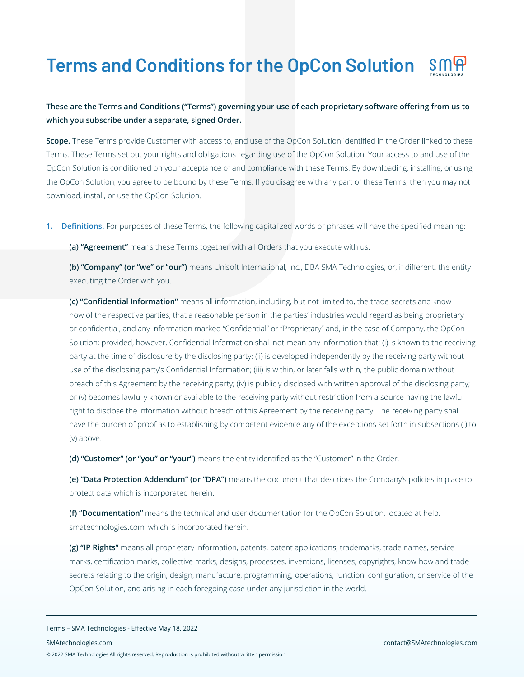# **Terms and Conditions for the OpCon Solution**

# **These are the Terms and Conditions ("Terms") governing your use of each proprietary software offering from us to which you subscribe under a separate, signed Order.**

**Scope.** These Terms provide Customer with access to, and use of the OpCon Solution identified in the Order linked to these Terms. These Terms set out your rights and obligations regarding use of the OpCon Solution. Your access to and use of the OpCon Solution is conditioned on your acceptance of and compliance with these Terms. By downloading, installing, or using the OpCon Solution, you agree to be bound by these Terms. If you disagree with any part of these Terms, then you may not download, install, or use the OpCon Solution.

**1. Definitions.** For purposes of these Terms, the following capitalized words or phrases will have the specified meaning:

**(a) "Agreement"** means these Terms together with all Orders that you execute with us.

**(b) "Company" (or "we" or "our")** means Unisoft International, Inc., DBA SMA Technologies, or, if different, the entity executing the Order with you.

**(c) "Confidential Information"** means all information, including, but not limited to, the trade secrets and knowhow of the respective parties, that a reasonable person in the parties' industries would regard as being proprietary or confidential, and any information marked "Confidential" or "Proprietary" and, in the case of Company, the OpCon Solution; provided, however, Confidential Information shall not mean any information that: (i) is known to the receiving party at the time of disclosure by the disclosing party; (ii) is developed independently by the receiving party without use of the disclosing party's Confidential Information; (iii) is within, or later falls within, the public domain without breach of this Agreement by the receiving party; (iv) is publicly disclosed with written approval of the disclosing party; or (v) becomes lawfully known or available to the receiving party without restriction from a source having the lawful right to disclose the information without breach of this Agreement by the receiving party. The receiving party shall have the burden of proof as to establishing by competent evidence any of the exceptions set forth in subsections (i) to (v) above.

**(d) "Customer" (or "you" or "your")** means the entity identified as the "Customer" in the Order.

**(e) "Data Protection Addendum" (or "DPA")** means the document that describes the Company's policies in place to protect data which is incorporated herein.

**(f) "Documentation"** means the technical and user documentation for the OpCon Solution, located at help. smatechnologies.com, which is incorporated herein.

**(g) "IP Rights"** means all proprietary information, patents, patent applications, trademarks, trade names, service marks, certification marks, collective marks, designs, processes, inventions, licenses, copyrights, know-how and trade secrets relating to the origin, design, manufacture, programming, operations, function, configuration, or service of the OpCon Solution, and arising in each foregoing case under any jurisdiction in the world.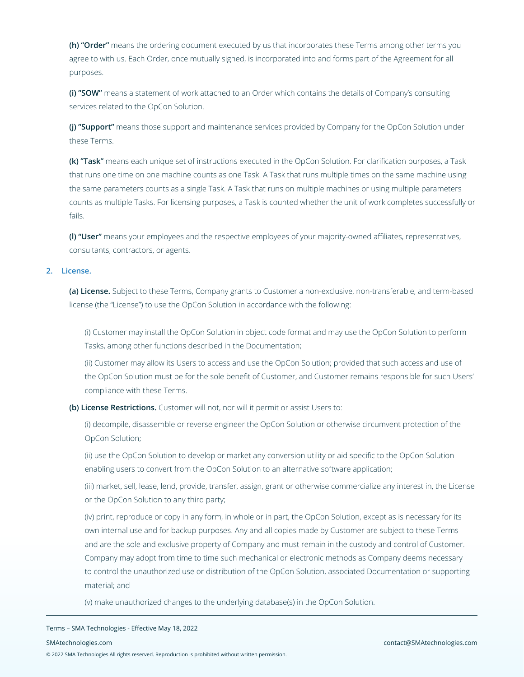**(h) "Order"** means the ordering document executed by us that incorporates these Terms among other terms you agree to with us. Each Order, once mutually signed, is incorporated into and forms part of the Agreement for all purposes.

**(i) "SOW"** means a statement of work attached to an Order which contains the details of Company's consulting services related to the OpCon Solution.

**(j) "Support"** means those support and maintenance services provided by Company for the OpCon Solution under these Terms.

**(k) "Task"** means each unique set of instructions executed in the OpCon Solution. For clarification purposes, a Task that runs one time on one machine counts as one Task. A Task that runs multiple times on the same machine using the same parameters counts as a single Task. A Task that runs on multiple machines or using multiple parameters counts as multiple Tasks. For licensing purposes, a Task is counted whether the unit of work completes successfully or fails.

**(l) "User"** means your employees and the respective employees of your majority-owned affiliates, representatives, consultants, contractors, or agents.

# **2. License.**

**(a) License.** Subject to these Terms, Company grants to Customer a non-exclusive, non-transferable, and term-based license (the "License") to use the OpCon Solution in accordance with the following:

(i) Customer may install the OpCon Solution in object code format and may use the OpCon Solution to perform Tasks, among other functions described in the Documentation;

(ii) Customer may allow its Users to access and use the OpCon Solution; provided that such access and use of the OpCon Solution must be for the sole benefit of Customer, and Customer remains responsible for such Users' compliance with these Terms.

**(b) License Restrictions.** Customer will not, nor will it permit or assist Users to:

(i) decompile, disassemble or reverse engineer the OpCon Solution or otherwise circumvent protection of the OpCon Solution;

(ii) use the OpCon Solution to develop or market any conversion utility or aid specific to the OpCon Solution enabling users to convert from the OpCon Solution to an alternative software application;

(iii) market, sell, lease, lend, provide, transfer, assign, grant or otherwise commercialize any interest in, the License or the OpCon Solution to any third party;

(iv) print, reproduce or copy in any form, in whole or in part, the OpCon Solution, except as is necessary for its own internal use and for backup purposes. Any and all copies made by Customer are subject to these Terms and are the sole and exclusive property of Company and must remain in the custody and control of Customer. Company may adopt from time to time such mechanical or electronic methods as Company deems necessary to control the unauthorized use or distribution of the OpCon Solution, associated Documentation or supporting material; and

(v) make unauthorized changes to the underlying database(s) in the OpCon Solution.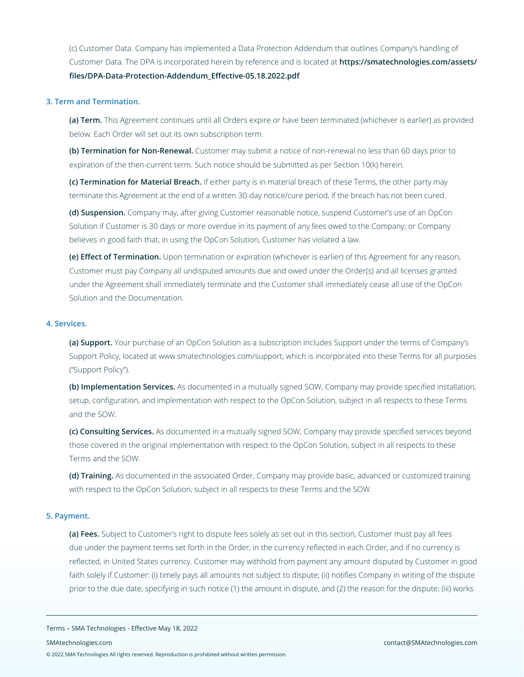(c) Customer Data. Company has implemented a Data Protection Addendum that outlines Company's handling of Customer Data. The DPA is incorporated herein by reference and is located at **https://smatechnologies.com/assets/ files/DPA-Data-Protection-Addendum\_Effective-05.18.2022.pdf**.

#### **3. Term and Termination.**

**(a) Term.** This Agreement continues until all Orders expire or have been terminated (whichever is earlier) as provided below. Each Order will set out its own subscription term.

**(b) Termination for Non-Renewal.** Customer may submit a notice of non-renewal no less than 60 days prior to expiration of the then-current term. Such notice should be submitted as per Section 10(k) herein.

**(c) Termination for Material Breach.** If either party is in material breach of these Terms, the other party may terminate this Agreement at the end of a written 30-day notice/cure period, if the breach has not been cured.

**(d) Suspension.** Company may, after giving Customer reasonable notice, suspend Customer's use of an OpCon Solution if Customer is 30 days or more overdue in its payment of any fees owed to the Company; or Company believes in good faith that, in using the OpCon Solution, Customer has violated a law.

**(e) Effect of Termination.** Upon termination or expiration (whichever is earlier) of this Agreement for any reason, Customer must pay Company all undisputed amounts due and owed under the Order(s) and all licenses granted under the Agreement shall immediately terminate and the Customer shall immediately cease all use of the OpCon Solution and the Documentation.

# **4. Services.**

**(a) Support.** Your purchase of an OpCon Solution as a subscription includes Support under the terms of Company's Support Policy, located at www.smatechnologies.com/support, which is incorporated into these Terms for all purposes ("Support Policy").

**(b) Implementation Services.** As documented in a mutually signed SOW, Company may provide specified installation, setup, configuration, and implementation with respect to the OpCon Solution, subject in all respects to these Terms and the SOW.

**(c) Consulting Services.** As documented in a mutually signed SOW, Company may provide specified services beyond those covered in the original implementation with respect to the OpCon Solution, subject in all respects to these Terms and the SOW.

**(d) Training.** As documented in the associated Order, Company may provide basic, advanced or customized training with respect to the OpCon Solution, subject in all respects to these Terms and the SOW.

# **5. Payment.**

**(a) Fees.** Subject to Customer's right to dispute fees solely as set out in this section, Customer must pay all fees due under the payment terms set forth in the Order, in the currency reflected in each Order, and if no currency is reflected, in United States currency. Customer may withhold from payment any amount disputed by Customer in good faith solely if Customer: (i) timely pays all amounts not subject to dispute; (ii) notifies Company in writing of the dispute prior to the due date, specifying in such notice (1) the amount in dispute, and (2) the reason for the dispute; (iii) works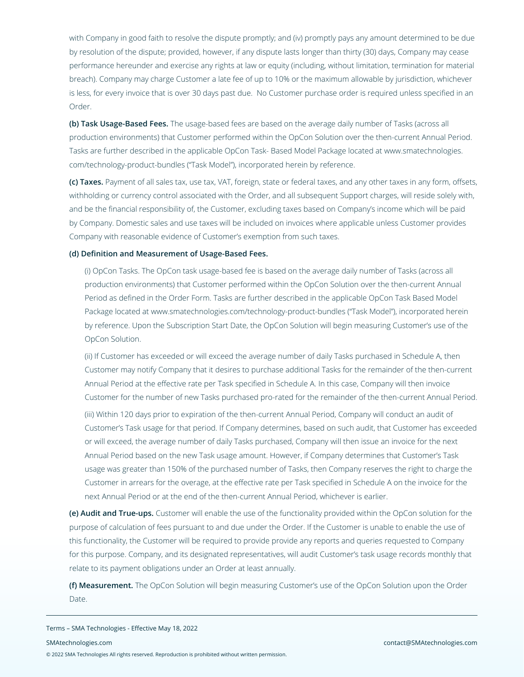with Company in good faith to resolve the dispute promptly; and (iv) promptly pays any amount determined to be due by resolution of the dispute; provided, however, if any dispute lasts longer than thirty (30) days, Company may cease performance hereunder and exercise any rights at law or equity (including, without limitation, termination for material breach). Company may charge Customer a late fee of up to 10% or the maximum allowable by jurisdiction, whichever is less, for every invoice that is over 30 days past due. No Customer purchase order is required unless specified in an Order.

**(b) Task Usage-Based Fees.** The usage-based fees are based on the average daily number of Tasks (across all production environments) that Customer performed within the OpCon Solution over the then-current Annual Period. Tasks are further described in the applicable OpCon Task- Based Model Package located at www.smatechnologies. com/technology-product-bundles ("Task Model"), incorporated herein by reference.

**(c) Taxes.** Payment of all sales tax, use tax, VAT, foreign, state or federal taxes, and any other taxes in any form, offsets, withholding or currency control associated with the Order, and all subsequent Support charges, will reside solely with, and be the financial responsibility of, the Customer, excluding taxes based on Company's income which will be paid by Company. Domestic sales and use taxes will be included on invoices where applicable unless Customer provides Company with reasonable evidence of Customer's exemption from such taxes.

#### **(d) Definition and Measurement of Usage-Based Fees.**

(i) OpCon Tasks. The OpCon task usage-based fee is based on the average daily number of Tasks (across all production environments) that Customer performed within the OpCon Solution over the then-current Annual Period as defined in the Order Form. Tasks are further described in the applicable OpCon Task Based Model Package located at www.smatechnologies.com/technology-product-bundles ("Task Model"), incorporated herein by reference. Upon the Subscription Start Date, the OpCon Solution will begin measuring Customer's use of the OpCon Solution.

(ii) If Customer has exceeded or will exceed the average number of daily Tasks purchased in Schedule A, then Customer may notify Company that it desires to purchase additional Tasks for the remainder of the then-current Annual Period at the effective rate per Task specified in Schedule A. In this case, Company will then invoice Customer for the number of new Tasks purchased pro-rated for the remainder of the then-current Annual Period.

(iii) Within 120 days prior to expiration of the then-current Annual Period, Company will conduct an audit of Customer's Task usage for that period. If Company determines, based on such audit, that Customer has exceeded or will exceed, the average number of daily Tasks purchased, Company will then issue an invoice for the next Annual Period based on the new Task usage amount. However, if Company determines that Customer's Task usage was greater than 150% of the purchased number of Tasks, then Company reserves the right to charge the Customer in arrears for the overage, at the effective rate per Task specified in Schedule A on the invoice for the next Annual Period or at the end of the then-current Annual Period, whichever is earlier.

**(e) Audit and True-ups.** Customer will enable the use of the functionality provided within the OpCon solution for the purpose of calculation of fees pursuant to and due under the Order. If the Customer is unable to enable the use of this functionality, the Customer will be required to provide provide any reports and queries requested to Company for this purpose. Company, and its designated representatives, will audit Customer's task usage records monthly that relate to its payment obligations under an Order at least annually.

**(f) Measurement.** The OpCon Solution will begin measuring Customer's use of the OpCon Solution upon the Order Date.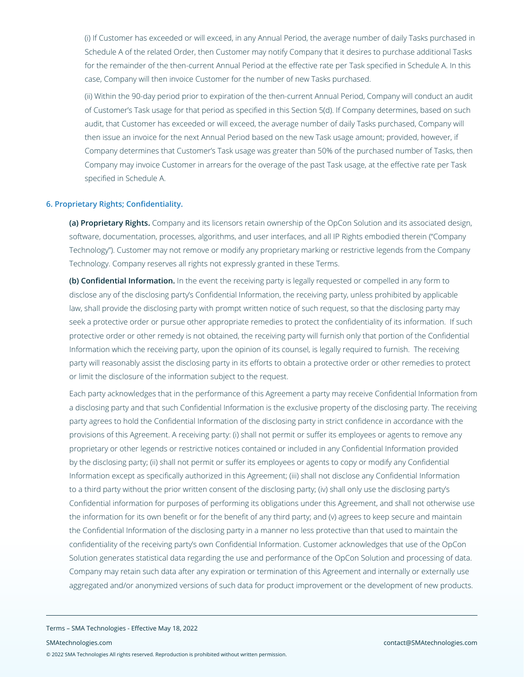(i) If Customer has exceeded or will exceed, in any Annual Period, the average number of daily Tasks purchased in Schedule A of the related Order, then Customer may notify Company that it desires to purchase additional Tasks for the remainder of the then-current Annual Period at the effective rate per Task specified in Schedule A. In this case, Company will then invoice Customer for the number of new Tasks purchased.

(ii) Within the 90-day period prior to expiration of the then-current Annual Period, Company will conduct an audit of Customer's Task usage for that period as specified in this Section 5(d). If Company determines, based on such audit, that Customer has exceeded or will exceed, the average number of daily Tasks purchased, Company will then issue an invoice for the next Annual Period based on the new Task usage amount; provided, however, if Company determines that Customer's Task usage was greater than 50% of the purchased number of Tasks, then Company may invoice Customer in arrears for the overage of the past Task usage, at the effective rate per Task specified in Schedule A.

# **6. Proprietary Rights; Confidentiality.**

**(a) Proprietary Rights.** Company and its licensors retain ownership of the OpCon Solution and its associated design, software, documentation, processes, algorithms, and user interfaces, and all IP Rights embodied therein ("Company Technology"). Customer may not remove or modify any proprietary marking or restrictive legends from the Company Technology. Company reserves all rights not expressly granted in these Terms.

**(b) Confidential Information.** In the event the receiving party is legally requested or compelled in any form to disclose any of the disclosing party's Confidential Information, the receiving party, unless prohibited by applicable law, shall provide the disclosing party with prompt written notice of such request, so that the disclosing party may seek a protective order or pursue other appropriate remedies to protect the confidentiality of its information. If such protective order or other remedy is not obtained, the receiving party will furnish only that portion of the Confidential Information which the receiving party, upon the opinion of its counsel, is legally required to furnish. The receiving party will reasonably assist the disclosing party in its efforts to obtain a protective order or other remedies to protect or limit the disclosure of the information subject to the request.

Each party acknowledges that in the performance of this Agreement a party may receive Confidential Information from a disclosing party and that such Confidential Information is the exclusive property of the disclosing party. The receiving party agrees to hold the Confidential Information of the disclosing party in strict confidence in accordance with the provisions of this Agreement. A receiving party: (i) shall not permit or suffer its employees or agents to remove any proprietary or other legends or restrictive notices contained or included in any Confidential Information provided by the disclosing party; (ii) shall not permit or suffer its employees or agents to copy or modify any Confidential Information except as specifically authorized in this Agreement; (iii) shall not disclose any Confidential Information to a third party without the prior written consent of the disclosing party; (iv) shall only use the disclosing party's Confidential information for purposes of performing its obligations under this Agreement, and shall not otherwise use the information for its own benefit or for the benefit of any third party; and (v) agrees to keep secure and maintain the Confidential Information of the disclosing party in a manner no less protective than that used to maintain the confidentiality of the receiving party's own Confidential Information. Customer acknowledges that use of the OpCon Solution generates statistical data regarding the use and performance of the OpCon Solution and processing of data. Company may retain such data after any expiration or termination of this Agreement and internally or externally use aggregated and/or anonymized versions of such data for product improvement or the development of new products.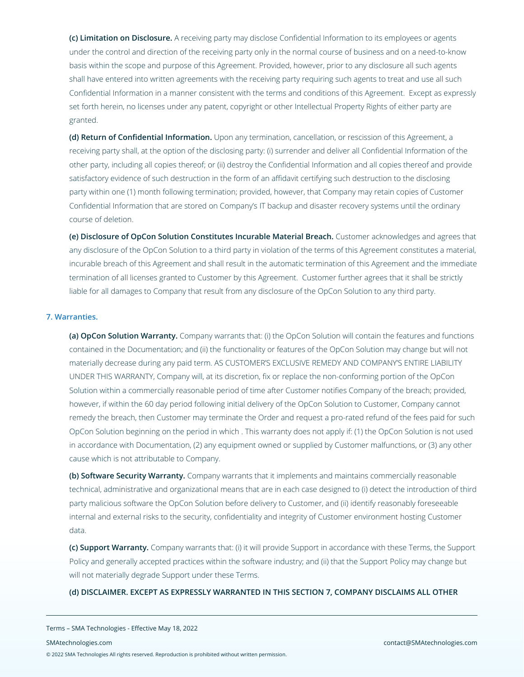**(c) Limitation on Disclosure.** A receiving party may disclose Confidential Information to its employees or agents under the control and direction of the receiving party only in the normal course of business and on a need-to-know basis within the scope and purpose of this Agreement. Provided, however, prior to any disclosure all such agents shall have entered into written agreements with the receiving party requiring such agents to treat and use all such Confidential Information in a manner consistent with the terms and conditions of this Agreement. Except as expressly set forth herein, no licenses under any patent, copyright or other Intellectual Property Rights of either party are granted.

**(d) Return of Confidential Information.** Upon any termination, cancellation, or rescission of this Agreement, a receiving party shall, at the option of the disclosing party: (i) surrender and deliver all Confidential Information of the other party, including all copies thereof; or (ii) destroy the Confidential Information and all copies thereof and provide satisfactory evidence of such destruction in the form of an affidavit certifying such destruction to the disclosing party within one (1) month following termination; provided, however, that Company may retain copies of Customer Confidential Information that are stored on Company's IT backup and disaster recovery systems until the ordinary course of deletion.

**(e) Disclosure of OpCon Solution Constitutes Incurable Material Breach.** Customer acknowledges and agrees that any disclosure of the OpCon Solution to a third party in violation of the terms of this Agreement constitutes a material, incurable breach of this Agreement and shall result in the automatic termination of this Agreement and the immediate termination of all licenses granted to Customer by this Agreement. Customer further agrees that it shall be strictly liable for all damages to Company that result from any disclosure of the OpCon Solution to any third party.

#### **7. Warranties.**

**(a) OpCon Solution Warranty.** Company warrants that: (i) the OpCon Solution will contain the features and functions contained in the Documentation; and (ii) the functionality or features of the OpCon Solution may change but will not materially decrease during any paid term. AS CUSTOMER'S EXCLUSIVE REMEDY AND COMPANY'S ENTIRE LIABILITY UNDER THIS WARRANTY, Company will, at its discretion, fix or replace the non-conforming portion of the OpCon Solution within a commercially reasonable period of time after Customer notifies Company of the breach; provided, however, if within the 60 day period following initial delivery of the OpCon Solution to Customer, Company cannot remedy the breach, then Customer may terminate the Order and request a pro-rated refund of the fees paid for such OpCon Solution beginning on the period in which . This warranty does not apply if: (1) the OpCon Solution is not used in accordance with Documentation, (2) any equipment owned or supplied by Customer malfunctions, or (3) any other cause which is not attributable to Company.

**(b) Software Security Warranty.** Company warrants that it implements and maintains commercially reasonable technical, administrative and organizational means that are in each case designed to (i) detect the introduction of third party malicious software the OpCon Solution before delivery to Customer, and (ii) identify reasonably foreseeable internal and external risks to the security, confidentiality and integrity of Customer environment hosting Customer data.

**(c) Support Warranty.** Company warrants that: (i) it will provide Support in accordance with these Terms, the Support Policy and generally accepted practices within the software industry; and (ii) that the Support Policy may change but will not materially degrade Support under these Terms.

**(d) DISCLAIMER. EXCEPT AS EXPRESSLY WARRANTED IN THIS SECTION 7, COMPANY DISCLAIMS ALL OTHER**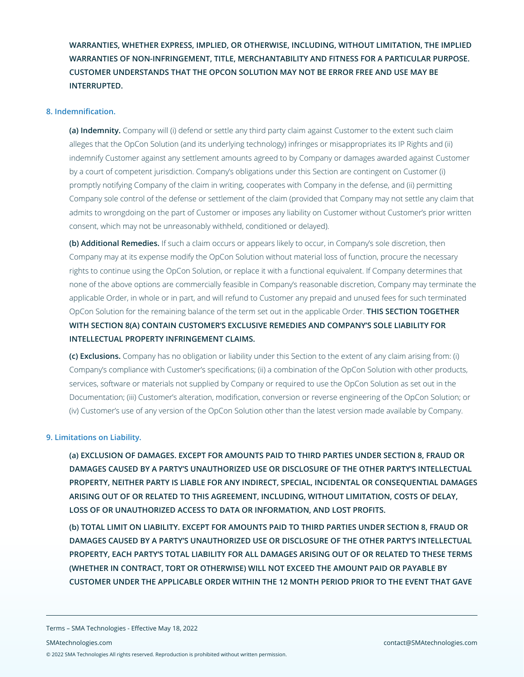**WARRANTIES, WHETHER EXPRESS, IMPLIED, OR OTHERWISE, INCLUDING, WITHOUT LIMITATION, THE IMPLIED WARRANTIES OF NON-INFRINGEMENT, TITLE, MERCHANTABILITY AND FITNESS FOR A PARTICULAR PURPOSE. CUSTOMER UNDERSTANDS THAT THE OPCON SOLUTION MAY NOT BE ERROR FREE AND USE MAY BE INTERRUPTED.**

# **8. Indemnification.**

**(a) Indemnity.** Company will (i) defend or settle any third party claim against Customer to the extent such claim alleges that the OpCon Solution (and its underlying technology) infringes or misappropriates its IP Rights and (ii) indemnify Customer against any settlement amounts agreed to by Company or damages awarded against Customer by a court of competent jurisdiction. Company's obligations under this Section are contingent on Customer (i) promptly notifying Company of the claim in writing, cooperates with Company in the defense, and (ii) permitting Company sole control of the defense or settlement of the claim (provided that Company may not settle any claim that admits to wrongdoing on the part of Customer or imposes any liability on Customer without Customer's prior written consent, which may not be unreasonably withheld, conditioned or delayed).

**(b) Additional Remedies.** If such a claim occurs or appears likely to occur, in Company's sole discretion, then Company may at its expense modify the OpCon Solution without material loss of function, procure the necessary rights to continue using the OpCon Solution, or replace it with a functional equivalent. If Company determines that none of the above options are commercially feasible in Company's reasonable discretion, Company may terminate the applicable Order, in whole or in part, and will refund to Customer any prepaid and unused fees for such terminated OpCon Solution for the remaining balance of the term set out in the applicable Order. **THIS SECTION TOGETHER WITH SECTION 8(A) CONTAIN CUSTOMER'S EXCLUSIVE REMEDIES AND COMPANY'S SOLE LIABILITY FOR INTELLECTUAL PROPERTY INFRINGEMENT CLAIMS.**

**(c) Exclusions.** Company has no obligation or liability under this Section to the extent of any claim arising from: (i) Company's compliance with Customer's specifications; (ii) a combination of the OpCon Solution with other products, services, software or materials not supplied by Company or required to use the OpCon Solution as set out in the Documentation; (iii) Customer's alteration, modification, conversion or reverse engineering of the OpCon Solution; or (iv) Customer's use of any version of the OpCon Solution other than the latest version made available by Company.

# **9. Limitations on Liability.**

**(a) EXCLUSION OF DAMAGES. EXCEPT FOR AMOUNTS PAID TO THIRD PARTIES UNDER SECTION 8, FRAUD OR DAMAGES CAUSED BY A PARTY'S UNAUTHORIZED USE OR DISCLOSURE OF THE OTHER PARTY'S INTELLECTUAL PROPERTY, NEITHER PARTY IS LIABLE FOR ANY INDIRECT, SPECIAL, INCIDENTAL OR CONSEQUENTIAL DAMAGES ARISING OUT OF OR RELATED TO THIS AGREEMENT, INCLUDING, WITHOUT LIMITATION, COSTS OF DELAY, LOSS OF OR UNAUTHORIZED ACCESS TO DATA OR INFORMATION, AND LOST PROFITS.**

**(b) TOTAL LIMIT ON LIABILITY. EXCEPT FOR AMOUNTS PAID TO THIRD PARTIES UNDER SECTION 8, FRAUD OR DAMAGES CAUSED BY A PARTY'S UNAUTHORIZED USE OR DISCLOSURE OF THE OTHER PARTY'S INTELLECTUAL PROPERTY, EACH PARTY'S TOTAL LIABILITY FOR ALL DAMAGES ARISING OUT OF OR RELATED TO THESE TERMS (WHETHER IN CONTRACT, TORT OR OTHERWISE) WILL NOT EXCEED THE AMOUNT PAID OR PAYABLE BY CUSTOMER UNDER THE APPLICABLE ORDER WITHIN THE 12 MONTH PERIOD PRIOR TO THE EVENT THAT GAVE**